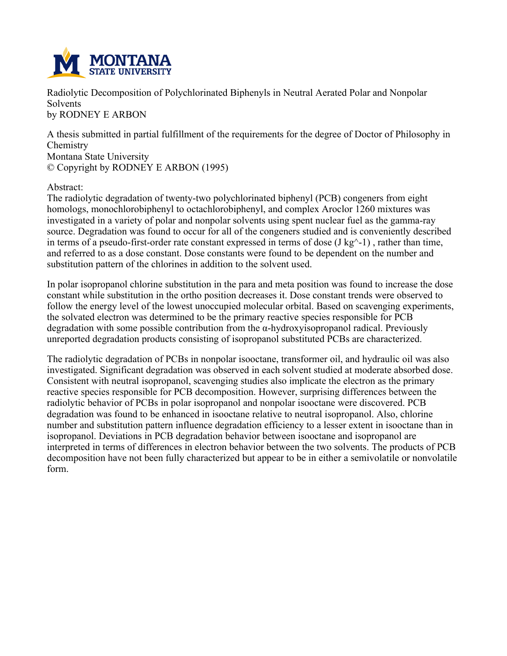

**Radiolytic Decomposition of Polychlorinated Biphenyls in Neutral Aerated Polar and Nonpolar Solvents by RODNEY E ARBON**

**A thesis submitted in partial fulfillment of the requirements for the degree of Doctor of Philosophy in Chemistry Montana State University © Copyright by RODNEY E ARBON (1995)**

## **Abstract:**

**The radiolytic degradation of twenty-two polychlorinated biphenyl (PCB) congeners from eight homologs, monochlorobiphenyl to octachlorobiphenyl, and complex Aroclor 1260 mixtures was investigated in a variety of polar and nonpolar solvents using spent nuclear fuel as the gamma-ray source. Degradation was found to occur for all of the congeners studied and is conveniently described** in terms of a pseudo-first-order rate constant expressed in terms of dose  $(J \text{ kg}^{\wedge} - 1)$ , rather than time, **and referred to as a dose constant. Dose constants were found to be dependent on the number and substitution pattern of the chlorines in addition to the solvent used.**

**In polar isopropanol chlorine substitution in the para and meta position was found to increase the dose constant while substitution in the ortho position decreases it. Dose constant trends were observed to follow the energy level of the lowest unoccupied molecular orbital. Based on scavenging experiments, the solvated electron was determined to be the primary reactive species responsible for PCB degradation with some possible contribution from the α-hydroxyisopropanol radical. Previously unreported degradation products consisting of isopropanol substituted PCBs are characterized.**

**The radiolytic degradation of PCBs in nonpolar isooctane, transformer oil, and hydraulic oil was also investigated. Significant degradation was observed in each solvent studied at moderate absorbed dose. Consistent with neutral isopropanol, scavenging studies also implicate the electron as the primary reactive species responsible for PCB decomposition. However, surprising differences between the radiolytic behavior of PCBs in polar isopropanol and nonpolar isooctane were discovered. PCB degradation was found to be enhanced in isooctane relative to neutral isopropanol. Also, chlorine number and substitution pattern influence degradation efficiency to a lesser extent in isooctane than in isopropanol. Deviations in PCB degradation behavior between isooctane and isopropanol are interpreted in terms of differences in electron behavior between the two solvents. The products of PCB decomposition have not been fully characterized but appear to be in either a semivolatile or nonvolatile form.**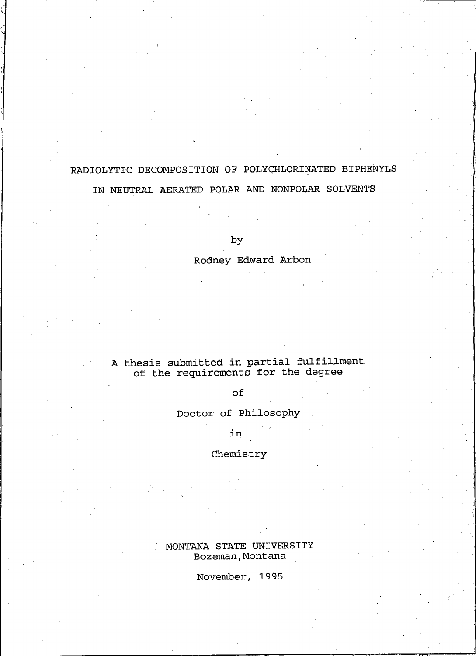## RADIOLYTIC DECOMPOSITION OF POLYCHLORINATED BIPHENYLS

## IN NEUTRAL AERATED POLAR AND NONPOLAR SOLVENTS

by

## Rodney Edward Arbon

# A thesis submitted in partial fulfillment<br>of the requirements for the degree

## of

#### Doctor of Philosophy

in

#### Chemistry

## MONTANA STATE UNIVERSITY Bozeman, Montana

November, 1995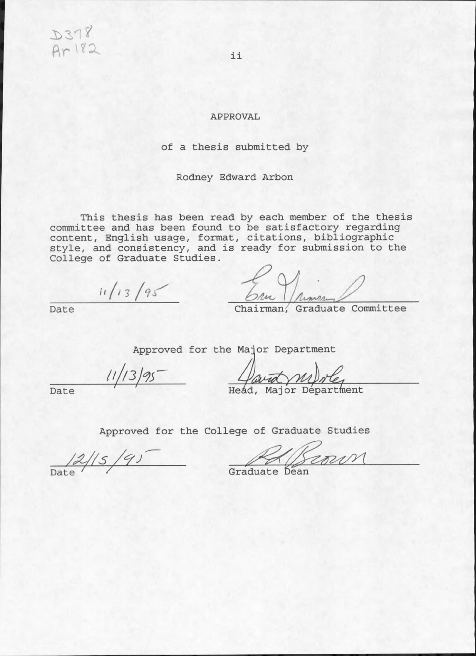D378 Ar182

#### **APPROVAL**

## of a thesis submitted by

Rodney Edward Arbon

This thesis has been read by each member of the thesis committee and has been found to be satisfactory regarding<br>content, English usage, format, citations, bibliographic<br>style, and consistency, and is ready for submission to the College of Graduate Studies.

 $11/13/95$ 

The

Chairman, Graduate Committee

Approved for the Major Department

 $11/13/95$ 

Havid MI) re

Date

Date

Approved for the College of Graduate Studies

 $\frac{2}{\sqrt{2}}$ 

rour

Graduate Dean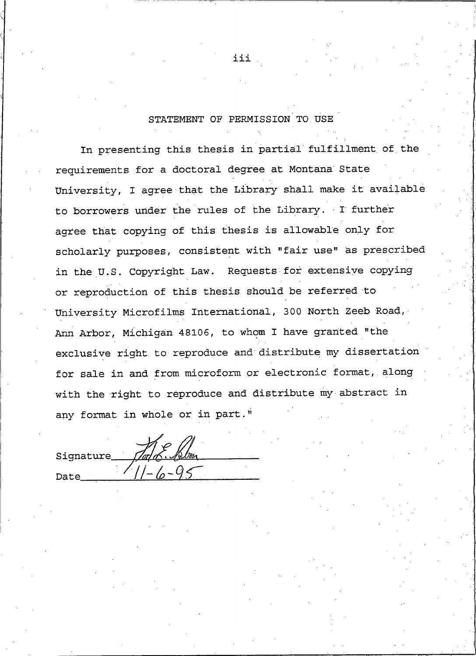#### STATEMENT OF PERMISSION TO USE

In presenting this thesis in partial fulfillment of the requirements for a doctoral degree at Montana State University, I agree that the Library shall make it available to borrowers under the rules of the Library. I further agree that copying of this thesis is allowable only for scholarly purposes, consistent with "fair use" as prescribed in the U.S. Copyright Law. Requests for extensive copying or reproduction of this thesis should be referred to University Microfilms International, 300 North Zeeb Road, Ann Arbor, Michigan 48106, to whom I have granted "the exclusive right to reproduce and distribute my dissertation for sale in and from microform or electronic format, along with the right to reproduce and distribute my abstract in any format in whole or in part."

| Signature | L. Blon |  |
|-----------|---------|--|
| Date      |         |  |

iii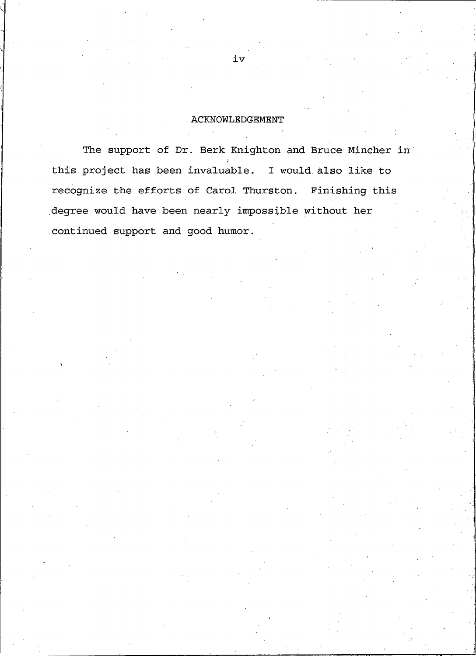#### **ACKNOWLEDGEMENT**

The support of Dr. Berk Knighton and Bruce Mincher in this project has been invaluable. I would also like to recognize the efforts of Carol Thurston. Finishing this degree would have been nearly impossible without her continued support and good humor.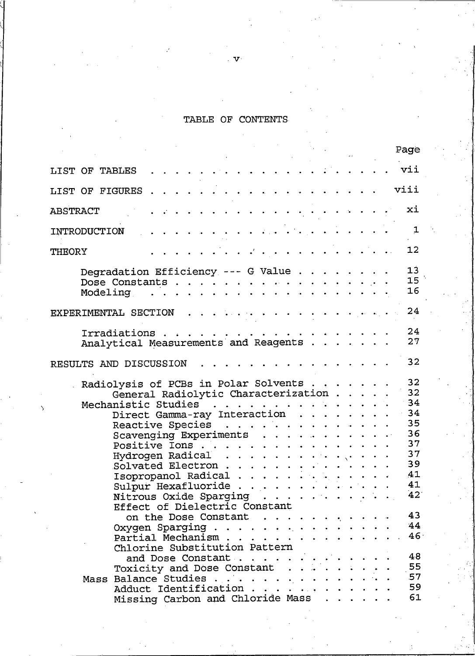## TABLE OF CONTENTS

 $\mathcal{F}$ .

|                        |                                                                                                       |                                                                   |                                           |                                                                                                                                                                                                                                |                                        |  |  | Page                  |
|------------------------|-------------------------------------------------------------------------------------------------------|-------------------------------------------------------------------|-------------------------------------------|--------------------------------------------------------------------------------------------------------------------------------------------------------------------------------------------------------------------------------|----------------------------------------|--|--|-----------------------|
| LIST OF TABLES         |                                                                                                       |                                                                   |                                           |                                                                                                                                                                                                                                | $\mathbf{r}$ . The set of $\mathbf{r}$ |  |  | vii                   |
| LIST OF FIGURES        |                                                                                                       |                                                                   |                                           | a constitution of the company of the company of the company of the company of the company of the company of the company of the company of the company of the company of the company of the company of the company of the compa |                                        |  |  | viii                  |
| ABSTRACT               |                                                                                                       |                                                                   | تواجعا فالجاج وأوجاج والمالون والمالونيات |                                                                                                                                                                                                                                |                                        |  |  | xi                    |
| INTRODUCTION           |                                                                                                       | وأنفارها القاربة القاربة والقائمة أتقارض فالقاربة القاربة القاربة |                                           |                                                                                                                                                                                                                                |                                        |  |  | $\mathbf{1}$          |
| <b>THEORY</b>          |                                                                                                       |                                                                   |                                           | المتحافظ والمستحدث والمستحدث والمستحدث والمتحافظ                                                                                                                                                                               |                                        |  |  | 12                    |
|                        | Degradation Efficiency --- G Value<br>Dose Constants                                                  |                                                                   |                                           |                                                                                                                                                                                                                                |                                        |  |  | 13<br>15<br>16        |
| EXPERIMENTAL SECTION   |                                                                                                       |                                                                   |                                           | $\mathcal{L}_{\mathbf{a}}$ , $\mathcal{L}_{\mathbf{a}}$ , $\mathcal{L}_{\mathbf{a}}$ , $\mathcal{L}_{\mathbf{a}}$ , $\mathcal{L}_{\mathbf{a}}$ , $\mathcal{L}_{\mathbf{a}}$                                                    |                                        |  |  | 24                    |
|                        | Analytical Measurements and Reagents                                                                  |                                                                   |                                           |                                                                                                                                                                                                                                |                                        |  |  | 24<br>27              |
| RESULTS AND DISCUSSION |                                                                                                       |                                                                   |                                           |                                                                                                                                                                                                                                |                                        |  |  | 32                    |
|                        | Radiolysis of PCBs in Polar Solvents<br>General Radiolytic Characterization<br>Mechanistic Studies 34 |                                                                   |                                           |                                                                                                                                                                                                                                |                                        |  |  | 32<br>32              |
|                        | Direct Gamma-ray Interaction 34<br>Reactive Species                                                   |                                                                   |                                           |                                                                                                                                                                                                                                |                                        |  |  | 35                    |
|                        | Scavenging Experiments                                                                                |                                                                   |                                           |                                                                                                                                                                                                                                |                                        |  |  | 36<br>37              |
|                        |                                                                                                       |                                                                   |                                           |                                                                                                                                                                                                                                |                                        |  |  | 37<br>39<br>41        |
|                        | Isopropanol Radical<br>Nitrous Oxide Sparging                                                         |                                                                   |                                           |                                                                                                                                                                                                                                |                                        |  |  | 41<br>42              |
|                        | Effect of Dielectric Constant<br>on the Dose Constant                                                 |                                                                   |                                           |                                                                                                                                                                                                                                |                                        |  |  | 43                    |
|                        | Oxygen Sparging<br>Partial Mechanism<br>Chlorine Substitution Pattern                                 |                                                                   |                                           |                                                                                                                                                                                                                                |                                        |  |  | 44<br>46 <sup>°</sup> |
|                        | and Dose Constant<br>Toxicity and Dose Constant                                                       |                                                                   |                                           |                                                                                                                                                                                                                                |                                        |  |  | 48<br>55              |
|                        | Mass Balance Studies<br>Adduct Identification<br>Missing Carbon and Chloride Mass                     |                                                                   |                                           |                                                                                                                                                                                                                                |                                        |  |  | 57<br>59<br>61        |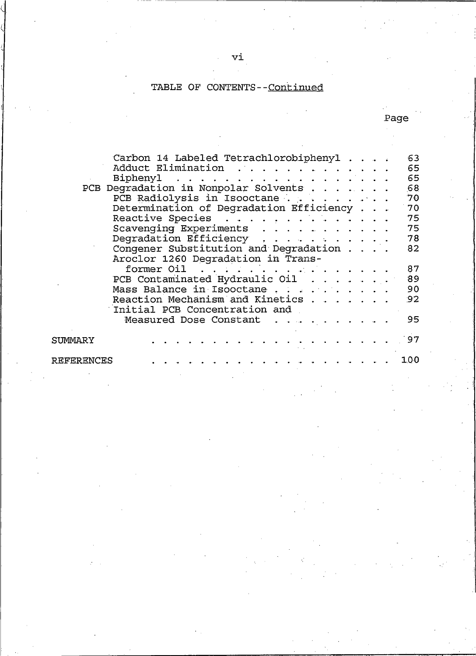#### TABLE OF CONTENTS--Continued

Carbon 14 Labeled Tetrachlorobiphenyl 63 Adduct Elimination . . . . . . . . 65 Biphenyl  $\mathbf{r}$  . The set of the set of the set of the set of the set of the set of the set of the set of the set of the set of the set of the set of the set of the set of the set of the set of the set of the set of the set of t 65  $\begin{array}{cccccccccccccc} \bullet & \bullet & \bullet & \bullet & \bullet & \bullet & \bullet & \bullet & \bullet \end{array}$ 68 70 Determination of Degradation Efficiency . . . 70 Reactive Species . . . . . . . . . . . 75 Scavenging Experiments 75 Degradation Efficiency 78 المناطق المناطق المناطق الموارد Congener Substitution and Degradation . 82 Aroclor 1260 Degradation in Transformer Oil . . . . . 87 PCB Contaminated Hydraulic Oil . . . 89 Mass Balance in Isooctane..... 90  $\mathbf{L}^{\text{max}}$ Reaction Mechanism and Kinetics . .  $\mathbb{R}^2$ 92 Initial PCB Concentration and Measured Dose Constant . . . 95 97 SUMMARY 100 **REFERENCES** 

Page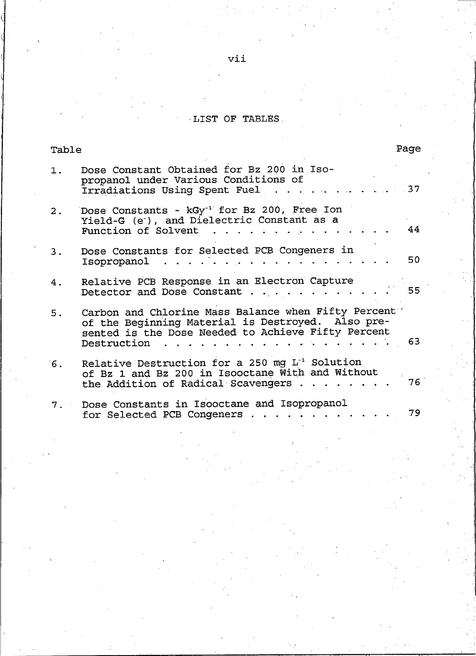## LIST OF TABLES.

| Table |                                                                                                                                                                                 | Page |
|-------|---------------------------------------------------------------------------------------------------------------------------------------------------------------------------------|------|
| 1.    | Dose Constant Obtained for Bz 200 in Iso-<br>propanol under Various Conditions of<br>Irradiations Using Spent Fuel                                                              | 37   |
| 2.    | Dose Constants - kGy <sup>-1</sup> for Bz 200, Free Ion<br>Yield-G (e), and Dielectric Constant as a<br>Function of Solvent                                                     | 44   |
| 3.    | Dose Constants for Selected PCB Congeners in<br>Isopropanol                                                                                                                     | 50   |
| 4.    | Relative PCB Response in an Electron Capture<br>Detector and Dose Constant                                                                                                      | .55  |
| 5.    | Carbon and Chlorine Mass Balance when Fifty Percent '<br>of the Beginning Material is Destroyed. Also pre-<br>sented is the Dose Needed to Achieve Fifty Percent<br>Destruction | 63   |
| 6.    | Relative Destruction for a 250 mg L <sup>-1</sup> Solution<br>of Bz 1 and Bz 200 in Isooctane With and Without<br>the Addition of Radical Scavengers.                           | 76   |
| 7.    | Dose Constants in Isooctane and Isopropanol<br>for Selected PCB Congeners.                                                                                                      | 79   |

 $vii$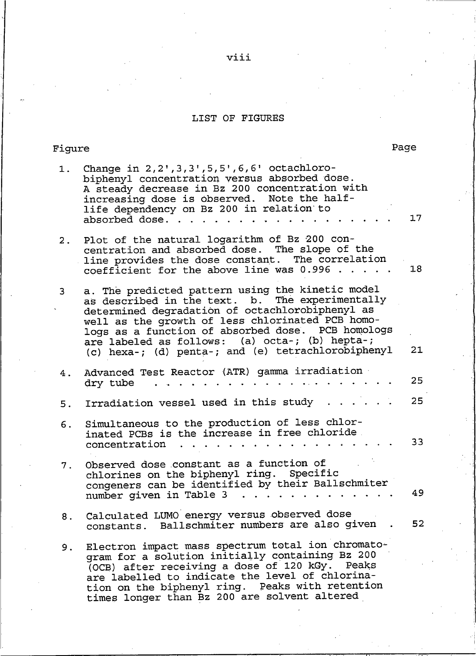## LIST OF FIGURES

## Figure

| 1. | Change in $2, 2', 3, 3', 5, 5', 6, 6'$ octachloro-<br>biphenyl concentration versus absorbed dose.<br>A steady decrease in Bz 200 concentration with<br>increasing dose is observed. Note the half-<br>life dependency on Bz 200 in relation to<br>absorbed dose.                                                                                                       | 17 |
|----|-------------------------------------------------------------------------------------------------------------------------------------------------------------------------------------------------------------------------------------------------------------------------------------------------------------------------------------------------------------------------|----|
| 2. | Plot of the natural logarithm of Bz 200 con-<br>centration and absorbed dose. The slope of the<br>line provides the dose constant. The correlation<br>coefficient for the above line was $0.996$                                                                                                                                                                        | 18 |
| 3. | a. The predicted pattern using the kinetic model<br>as described in the text. b. The experimentally<br>determined degradation of octachlorobiphenyl as<br>well as the growth of less chlorinated PCB homo-<br>logs as a function of absorbed dose. PCB homologs<br>are labeled as follows: (a) octa-; (b) hepta-;<br>(c) hexa-; (d) penta-; and (e) tetrachlorobiphenyl | 21 |
| 4. | Advanced Test Reactor (ATR) gamma irradiation<br>dry tube                                                                                                                                                                                                                                                                                                               | 25 |
| 5. | Irradiation vessel used in this study                                                                                                                                                                                                                                                                                                                                   | 25 |
| 6. | Simultaneous to the production of less chlor-<br>inated PCBs is the increase in free chloride.<br>concentration                                                                                                                                                                                                                                                         | 33 |
| 7. | Observed dose constant as a function of<br>chlorines on the biphenyl ring. Specific<br>congeners can be identified by their Ballschmiter<br>number given in Table 3<br>and the state of the state                                                                                                                                                                       | 49 |
| 8. | Calculated LUMO energy versus observed dose<br>constants. Ballschmiter numbers are also given                                                                                                                                                                                                                                                                           | 52 |
| 9. | Electron impact mass spectrum total ion chromato-<br>gram for a solution initially containing Bz 200<br>(OCB) after receiving a dose of 120 kGy.<br>Peaks<br>are labelled to indicate the level of chlorina-<br>tion on the biphenyl ring. Peaks with retention<br>timos longer than Bz 200 are solvent altered                                                         |    |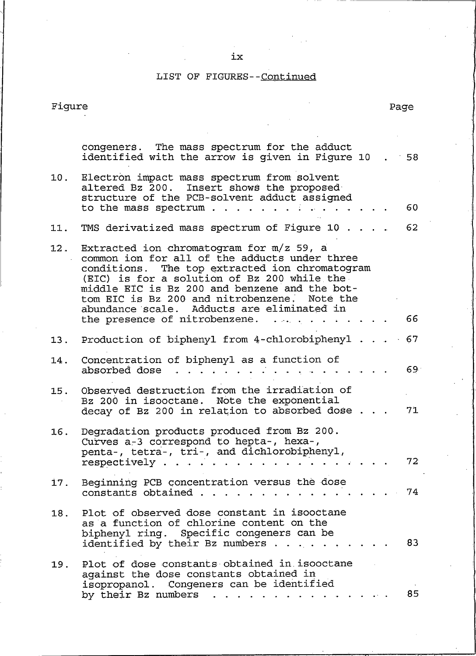## $\mathbf{i}\mathbf{x}$

## LIST OF FIGURES--Continued

## Figure

|     | congeners. The mass spectrum for the adduct<br>identified with the arrow is given in Figure 10<br>58                                                                                                                                                                                                                                                                                  |                 |
|-----|---------------------------------------------------------------------------------------------------------------------------------------------------------------------------------------------------------------------------------------------------------------------------------------------------------------------------------------------------------------------------------------|-----------------|
| 10. | Electron impact mass spectrum from solvent<br>altered Bz 200. Insert shows the proposed<br>structure of the PCB-solvent adduct assigned<br>to the mass spectrum<br>60                                                                                                                                                                                                                 |                 |
| 11. | TMS derivatized mass spectrum of Figure 10<br>62                                                                                                                                                                                                                                                                                                                                      |                 |
| 12. | Extracted ion chromatogram for $m/z$ 59, a<br>common ion for all of the adducts under three<br>conditions. The top extracted ion chromatogram<br>(EIC) is for a solution of Bz 200 while the<br>middle EIC is Bz 200 and benzene and the bot-<br>tom EIC is Bz 200 and nitrobenzene. Note the<br>abundance scale. Adducts are eliminated in<br>the presence of nitrobenzene. $\cdots$ | 66              |
| 13. | Production of biphenyl from 4-chlorobiphenyl<br>67                                                                                                                                                                                                                                                                                                                                    |                 |
| 14. | Concentration of biphenyl as a function of<br>absorbed dose                                                                                                                                                                                                                                                                                                                           | 69              |
| 15. | Observed destruction from the irradiation of<br>Bz 200 in isooctane. Note the exponential<br>decay of Bz 200 in relation to absorbed dose                                                                                                                                                                                                                                             | 71              |
| 16. | Degradation products produced from Bz 200.<br>Curves a-3 correspond to hepta-, hexa-,<br>penta-, tetra-, tri-, and dichlorobiphenyl,<br>respectively                                                                                                                                                                                                                                  | 72 <sub>1</sub> |
| 17. | Beginning PCB concentration versus the dose<br>constants obtained                                                                                                                                                                                                                                                                                                                     | 74              |
| 18. | Plot of observed dose constant in isooctane<br>as a function of chlorine content on the<br>biphenyl ring. Specific congeners can be<br>identified by their Bz numbers.                                                                                                                                                                                                                | 83              |
| 19. | Plot of dose constants obtained in isooctane<br>against the dose constants obtained in<br>isopropanol. Congeners can be identified<br>by their Bz numbers                                                                                                                                                                                                                             | 85              |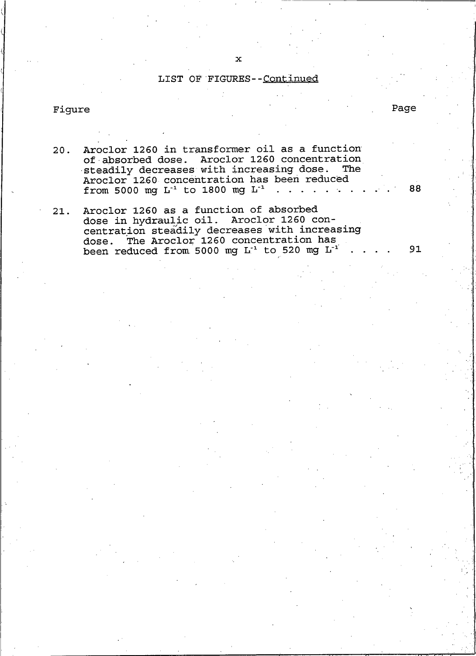## LIST OF FIGURES--Continued

## Figure

 $20.$ 

Aroclor 1260 in transformer oil as a function of absorbed dose. Aroclor 1260 concentration steadily decreases with increasing dose. The Aroclor 1260 concentration has been reduced **The** 

Aroclor 1260 as a function of absorbed  $21.$ dose in hydraulic oil. Aroclor 1260 concentration steadily decreases with increasing<br>dose. The Aroclor 1260 concentration has been reduced from 5000 mg L<sup>-1</sup> to 520 mg L<sup>-1</sup>

from 5000 mg  $L^{-1}$  to 1800 mg  $L^{-1}$ .

88

Page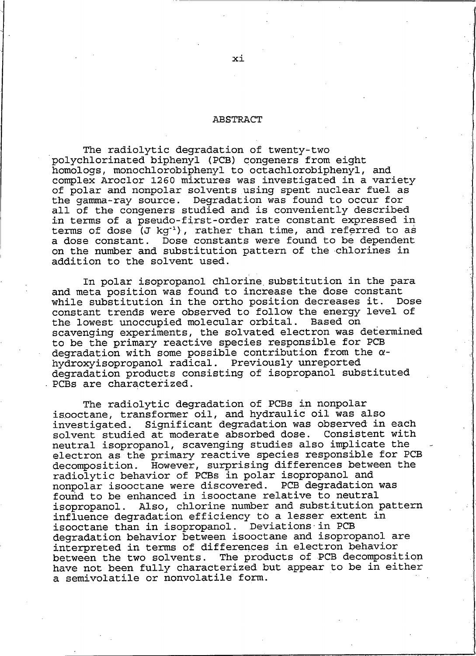#### **ABSTRACT**

The radiolytic degradation of twenty-two polychlorinated biphenyl (PCB) congeners from eight homologs, monochlorobiphenyl to octachlorobiphenyl, and complex Aroclor 1260 mixtures was investigated in a variety of polar and nonpolar solvents using spent nuclear fuel as the gamma-ray source. Degradation was found to occur for all of the congeners studied and is conveniently described in terms of a pseudo-first-order rate constant expressed in terms of dose (J kg<sup>-1</sup>), rather than time, and referred to as a dose constant. Dose constants were found to be dependent on the number and substitution pattern of the chlorines in addition to the solvent used.

In polar isopropanol chlorine substitution in the para and meta position was found to increase the dose constant while substitution in the ortho position decreases it. Dose constant trends were observed to follow the energy level of the lowest unoccupied molecular orbital. Based on scavenging experiments, the solvated electron was determined to be the primary reactive species responsible for PCB degradation with some possible contribution from the  $\alpha$ hydroxyisopropanol radical. Previously unreported degradation products consisting of isopropanol substituted PCBs are characterized.

The radiolytic degradation of PCBs in nonpolar isooctane, transformer oil, and hydraulic oil was also investigated. Significant degradation was observed in each solvent studied at moderate absorbed dose. Consistent with neutral isopropanol, scavenging studies also implicate the electron as the primary reactive species responsible for PCB However, surprising differences between the decomposition. radiolytic behavior of PCBs in polar isopropanol and nonpolar isooctane were discovered. PCB degradation was found to be enhanced in isooctane relative to neutral isopropanol. Also, chlorine number and substitution pattern influence degradation efficiency to a lesser extent in Deviations in PCB isooctane than in isopropanol. degradation behavior between isooctane and isopropanol are interpreted in terms of differences in electron behavior between the two solvents. The products of PCB decomposition have not been fully characterized but appear to be in either a semivolatile or nonvolatile form.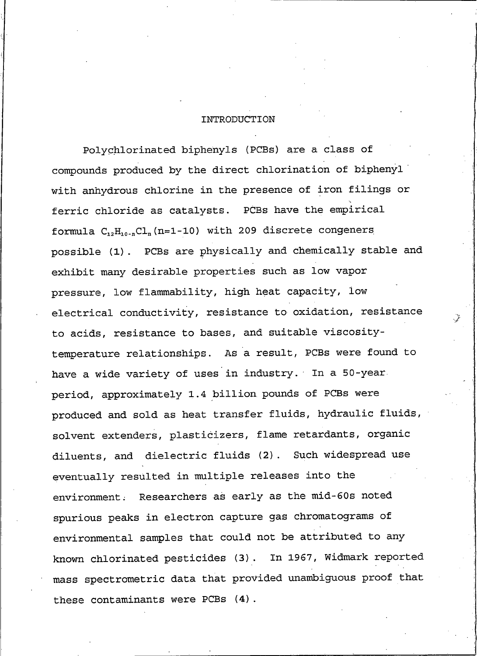## INTRODUCTION

Polychlorinated biphenyls (PCBs) are a class of compounds produced by the direct chlorination of biphenyl with anhydrous chlorine in the presence of iron filings or ferric chloride as catalysts. PCBs have the empirical formula  $C_{12}H_{10-n}Cl_n(n=1-10)$  with 209 discrete congeners possible (1). PCBs are physically and chemically stable and exhibit many desirable properties such as low vapor pressure, low flammability, high heat capacity, low electrical conductivity, resistance to oxidation, resistance to acids, resistance to bases, and suitable viscositytemperature relationships. As a result, PCBs were found to have a wide variety of uses in industry. In a 50-year. period, approximately 1.4 billion pounds of PCBs were produced and sold as heat transfer fluids, hydraulic fluids, solvent extenders, plasticizers, flame retardants, organic diluents, and dielectric fluids (2). Such widespread use eventually resulted in multiple releases into the environment. Researchers as early as the mid-60s noted spurious peaks in electron capture gas chromatograms of environmental samples that could not be attributed to any known chlorinated pesticides (3). In 1967, Widmark reported mass spectrometric data that provided unambiguous proof that these contaminants were PCBs (4).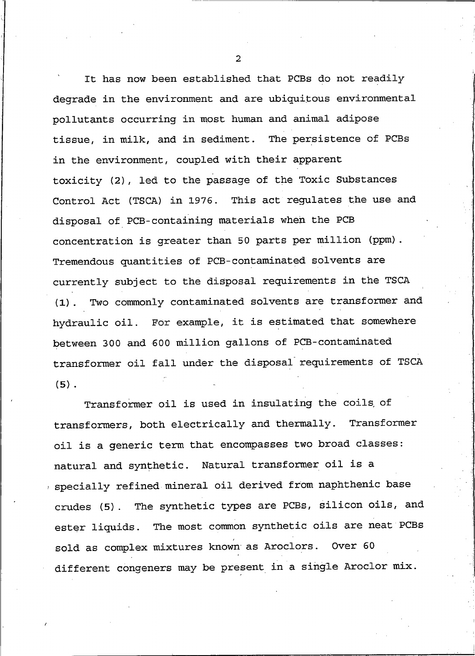It has now been established that PCBs do not readily degrade in the environment and are ubiquitous environmental pollutants occurring in most human and animal adipose tissue, in milk, and in sediment. The persistence of PCBs in the environment, coupled with their apparent toxicity (2), led to the passage of the Toxic Substances Control Act (TSCA) in 1976. This act regulates the use and disposal of PCB-containing materials when the PCB concentration is greater than 50 parts per million (ppm). Tremendous quantities of PCB-contaminated solvents are currently subject to the disposal requirements in the TSCA Two commonly contaminated solvents are transformer and  $(1)$ . hydraulic oil. For example, it is estimated that somewhere between 300 and 600 million gallons of PCB-contaminated transformer oil fall under the disposal requirements of TSCA  $(5)$ .

Transformer oil is used in insulating the coils of transformers, both electrically and thermally. Transformer oil is a generic term that encompasses two broad classes: natural and synthetic. Natural transformer oil is a specially refined mineral oil derived from naphthenic base crudes (5). The synthetic types are PCBs, silicon oils, and ester liquids. The most common synthetic oils are neat PCBs sold as complex mixtures known as Aroclors. Over 60 different congeners may be present in a single Aroclor mix.

 $\overline{2}$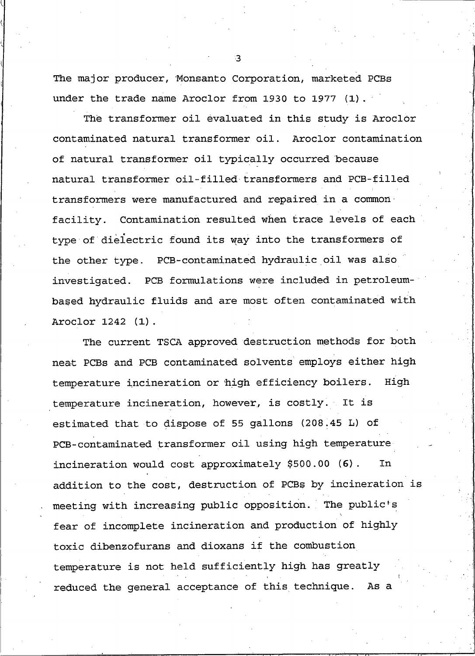The major producer, Monsanto Corporation, marketed PCBs under the trade name Aroclor from 1930 to 1977  $(1)$ .

The transformer oil evaluated in this study is Aroclor contaminated natural transformer oil. Aroclor contamination of natural transformer oil typically occurred because natural transformer oil-filled transformers and PCB-filled transformers were manufactured and repaired in a common facility. Contamination resulted when trace levels of each type of dielectric found its way into the transformers of the other type. PCB-contaminated hydraulic oil was also investigated. PCB formulations were included in petroleumbased hydraulic fluids and are most often contaminated with Aroclor 1242 (1).

The current TSCA approved destruction methods for both neat PCBs and PCB contaminated solvents employs either high temperature incineration or high efficiency boilers. High temperature incineration, however, is costly. It is estimated that to dispose of 55 gallons (208.45 L) of PCB-contaminated transformer oil using high temperature incineration would cost approximately \$500.00 (6). In addition to the cost, destruction of PCBs by incineration is meeting with increasing public opposition. The public's fear of incomplete incineration and production of highly toxic dibenzofurans and dioxans if the combustion temperature is not held sufficiently high has greatly reduced the general acceptance of this technique. As a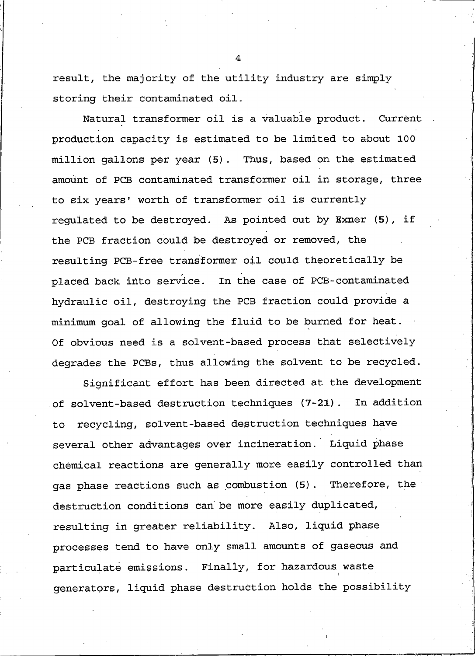result, the majority of the utility industry are simply storing their contaminated oil.

Natural transformer oil is a valuable product. Current production capacity is estimated to be limited to about 100 million gallons per year (5). Thus, based on the estimated amount of PCB contaminated transformer oil in storage, three to six years' worth of transformer oil is currently requiated to be destroyed. As pointed out by Exner (5), if the PCB fraction could be destroyed or removed, the resulting PCB-free transformer oil could theoretically be placed back into service. In the case of PCB-contaminated hydraulic oil, destroying the PCB fraction could provide a minimum goal of allowing the fluid to be burned for heat. Of obvious need is a solvent-based process that selectively degrades the PCBs, thus allowing the solvent to be recycled.

Significant effort has been directed at the development of solvent-based destruction techniques (7-21). In addition to recycling, solvent-based destruction techniques have several other advantages over incineration. Liquid phase chemical reactions are generally more easily controlled than gas phase reactions such as combustion (5). Therefore, the destruction conditions can be more easily duplicated, resulting in greater reliability. Also, liquid phase processes tend to have only small amounts of gaseous and particulate emissions. Finally, for hazardous waste generators, liquid phase destruction holds the possibility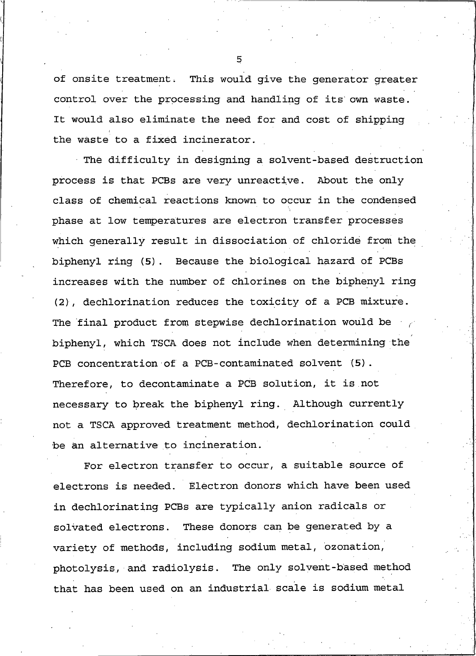of onsite treatment. This would give the generator greater control over the processing and handling of its own waste. It would also eliminate the need for and cost of shipping the waste to a fixed incinerator.

The difficulty in designing a solvent-based destruction process is that PCBs are very unreactive. About the only class of chemical reactions known to occur in the condensed phase at low temperatures are electron transfer processes which generally result in dissociation of chloride from the biphenyl ring (5). Because the biological hazard of PCBs increases with the number of chlorines on the biphenyl ring (2), dechlorination reduces the toxicity of a PCB mixture. The final product from stepwise dechlorination would be biphenyl, which TSCA does not include when determining the PCB concentration of a PCB-contaminated solvent (5). Therefore, to decontaminate a PCB solution, it is not necessary to break the biphenyl ring. Although currently not a TSCA approved treatment method, dechlorination could be an alternative to incineration.

For electron transfer to occur, a suitable source of electrons is needed. Electron donors which have been used in dechlorinating PCBs are typically anion radicals or These donors can be generated by a solvated electrons. variety of methods, including sodium metal, ozonation, photolysis, and radiolysis. The only solvent-based method that has been used on an industrial scale is sodium metal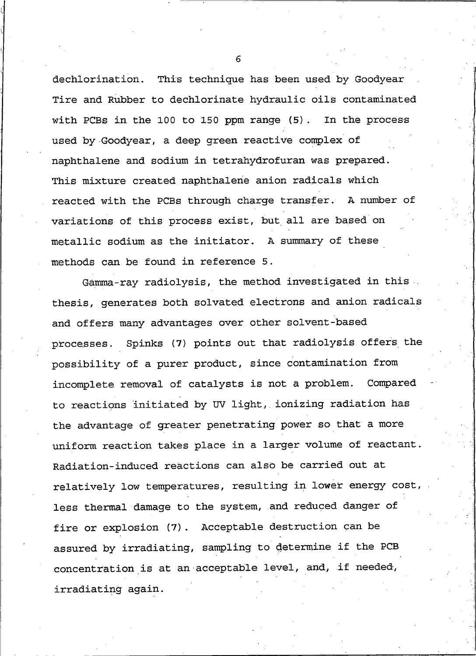dechlorination. This technique has been used by Goodyear Tire and Rubber to dechlorinate hydraulic oils contaminated with PCBs in the 100 to 150 ppm range (5). In the process used by Goodyear, a deep green reactive complex of naphthalene and sodium in tetrahydrofuran was prepared. This mixture created naphthalene anion radicals which reacted with the PCBs through charge transfer. A number of variations of this process exist, but all are based on metallic sodium as the initiator. A summary of these methods can be found in reference 5.

Gamma-ray radiolysis, the method investigated in this. thesis, generates both solvated electrons and anion radicals and offers many advantages over other solvent-based processes. Spinks (7) points out that radiolysis offers the possibility of a purer product, since contamination from incomplete removal of catalysts is not a problem. Compared to reactions initiated by UV light, ionizing radiation has the advantage of greater penetrating power so that a more uniform reaction takes place in a larger volume of reactant. Radiation-induced reactions can also be carried out at relatively low temperatures, resulting in lower energy cost, less thermal damage to the system, and reduced danger of fire or explosion (7). Acceptable destruction can be assured by irradiating, sampling to determine if the PCB concentration is at an acceptable level, and, if needed, irradiating again.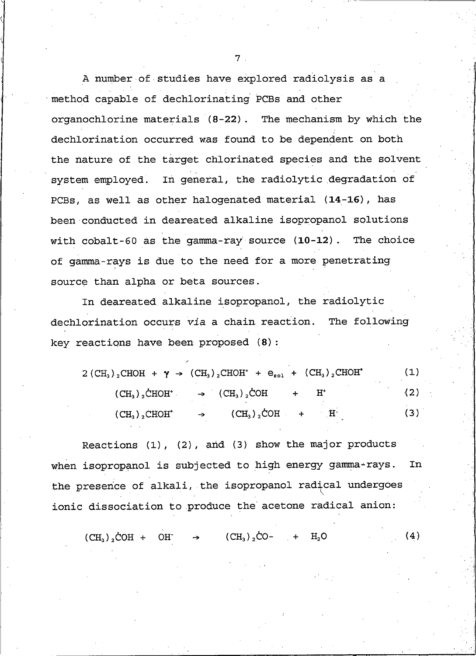A number of studies have explored radiolysis as a method capable of dechlorinating PCBs and other organochlorine materials (8-22). The mechanism by which the dechlorination occurred was found to be dependent on both the nature of the target chlorinated species and the solvent system employed. In general, the radiolytic degradation of PCBs, as well as other halogenated material (14-16), has been conducted in deareated alkaline isopropanol solutions with  $\text{cobalt-60}$  as the  $\text{gamma-ray}$  source  $(10-12)$ . The choice of gamma-rays is due to the need for a more penetrating source than alpha or beta sources.

In deareated alkaline isopropanol, the radiolytic dechlorination occurs via a chain reaction. The following key reactions have been proposed (8):

 $\overline{a}$ 

|               | $(CH_3)_2CHOH + \gamma \rightarrow (CH_3)_2CHOH^+ + e_{sol} + (CH_3)_2CHOH^*$ | (1) |
|---------------|-------------------------------------------------------------------------------|-----|
|               | $(CH_3)_2\text{CHOH}^+ \rightarrow (CH_3)_2\text{COH} + H^+$                  | (2) |
| $(CH3)2CHOH*$ | $(CH_3)_2COH +$<br>$\mathbf{H}^*$<br>$\rightarrow$                            | (3) |

Reactions  $(1)$ ,  $(2)$ , and  $(3)$  show the major products when isopropanol is subjected to high energy gamma-rays. In the presence of alkali, the isopropanol radical undergoes ionic dissociation to produce the acetone radical anion:

 $(CH_3)_{2}CO (4)$  $(CH_2)$ , COH + OH  $H<sub>2</sub>O$ 

 $7<sup>1</sup>$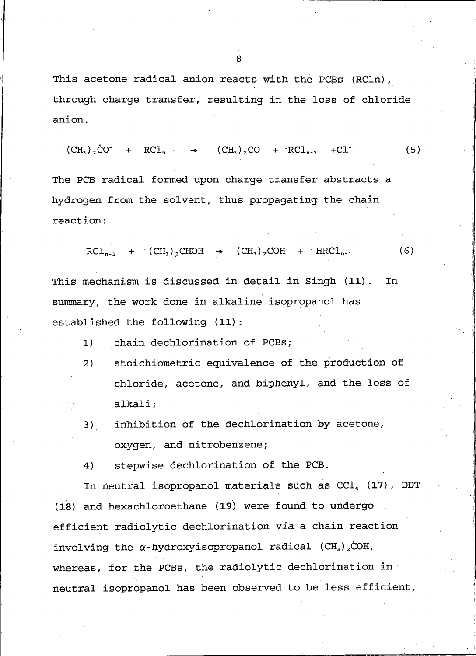This acetone radical anion reacts with the PCBs (RCln), through charge transfer, resulting in the loss of chloride anion.

$$
(CH3)2CO- + RCln \rightarrow (CH3)2CO + 'RCln-1 + Cl-
$$
 (5)

The PCB radical formed upon charge transfer abstracts a hydrogen from the solvent, thus propagating the chain reaction:

$$
RCL_{n-1} + (CH_3)_2CHOH \rightarrow (CH_3)_2COH + HRCL_{n-1}
$$
 (6)

This mechanism is discussed in detail in Singh (11). **In** summary, the work done in alkaline isopropanol has established the following (11):

- chain dechlorination of PCBs;  $1)$
- $2)$ stoichiometric equivalence of the production of chloride, acetone, and biphenyl, and the loss of alkali;
- inhibition of the dechlorination by acetone, 3) oxygen, and nitrobenzene;

stepwise dechlorination of the PCB. 4)

In neutral isopropanol materials such as CCl<sub>4</sub> (17), DDT (18) and hexachloroethane (19) were found to undergo efficient radiolytic dechlorination via a chain reaction involving the  $\alpha$ -hydroxyisopropanol radical (CH<sub>3</sub>)<sub>2</sub>COH, whereas, for the PCBs, the radiolytic dechlorination in neutral isopropanol has been observed to be less efficient,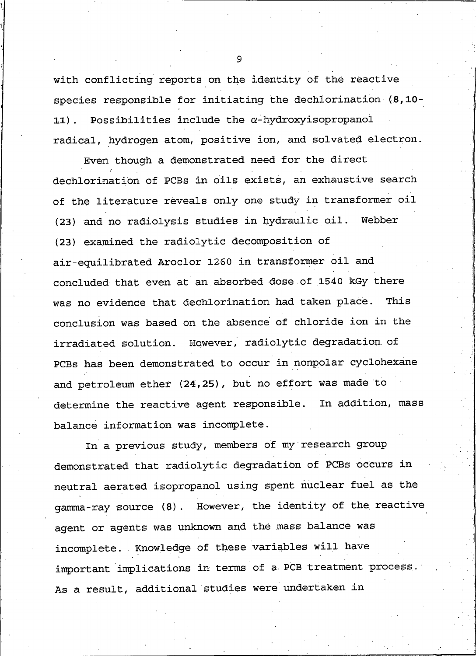with conflicting reports on the identity of the reactive species responsible for initiating the dechlorination (8,10-Possibilities include the  $\alpha$ -hydroxyisopropanol  $11)$ . radical, hydrogen atom, positive ion, and solvated electron.

Even though a demonstrated need for the direct dechlorination of PCBs in oils exists, an exhaustive search of the literature reveals only one study in transformer oil (23) and no radiolysis studies in hydraulic oil. Webber (23) examined the radiolytic decomposition of air-equilibrated Aroclor 1260 in transformer oil and concluded that even at an absorbed dose of 1540 kGy there was no evidence that dechlorination had taken place. This conclusion was based on the absence of chloride ion in the irradiated solution. However, radiolytic degradation of PCBs has been demonstrated to occur in nonpolar cyclohexane and petroleum ether (24,25), but no effort was made to determine the reactive agent responsible. In addition, mass balance information was incomplete.

In a previous study, members of my research group demonstrated that radiolytic degradation of PCBs occurs in neutral aerated isopropanol using spent nuclear fuel as the gamma-ray source (8). However, the identity of the reactive agent or agents was unknown and the mass balance was incomplete. Knowledge of these variables will have important implications in terms of a PCB treatment process. As a result, additional studies were undertaken in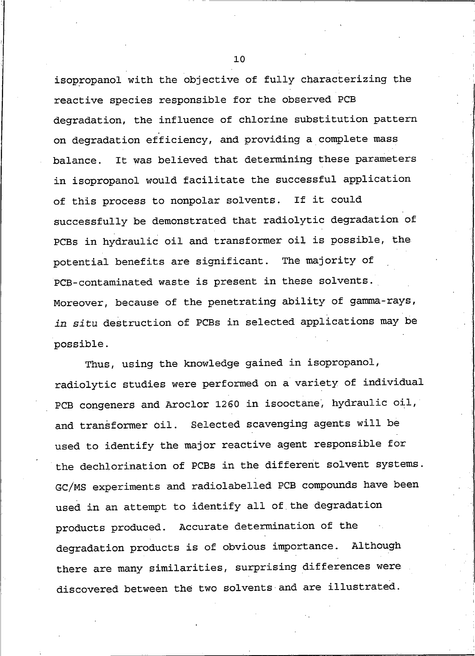isopropanol with the objective of fully characterizing the reactive species responsible for the observed PCB degradation, the influence of chlorine substitution pattern on degradation efficiency, and providing a complete mass It was believed that determining these parameters balance. in isopropanol would facilitate the successful application of this process to nonpolar solvents. If it could successfully be demonstrated that radiolytic degradation of PCBs in hydraulic oil and transformer oil is possible, the potential benefits are significant. The majority of PCB-contaminated waste is present in these solvents. Moreover, because of the penetrating ability of gamma-rays, in situ destruction of PCBs in selected applications may be possible.

Thus, using the knowledge gained in isopropanol, radiolytic studies were performed on a variety of individual PCB congeners and Aroclor 1260 in isooctane, hydraulic oil, and transformer oil. Selected scavenging agents will be used to identify the major reactive agent responsible for the dechlorination of PCBs in the different solvent systems. GC/MS experiments and radiolabelled PCB compounds have been used in an attempt to identify all of the degradation products produced. Accurate determination of the degradation products is of obvious importance. Although there are many similarities, surprising differences were discovered between the two solvents and are illustrated.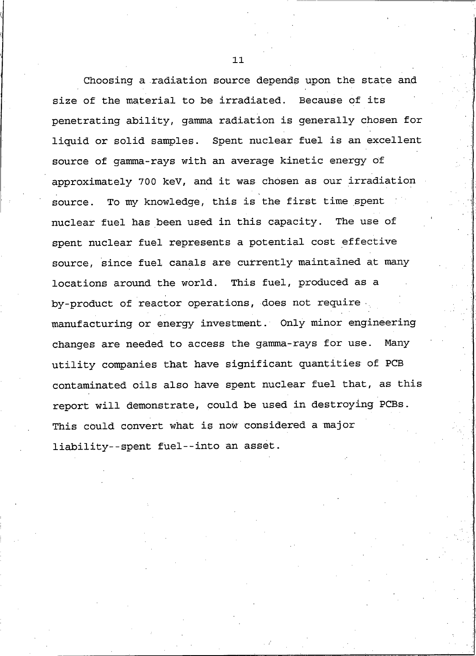Choosing a radiation source depends upon the state and size of the material to be irradiated. Because of its penetrating ability, gamma radiation is generally chosen for liquid or solid samples. Spent nuclear fuel is an excellent source of gamma-rays with an average kinetic energy of approximately 700 keV, and it was chosen as our irradiation source. To my knowledge, this is the first time spent nuclear fuel has been used in this capacity. The use of spent nuclear fuel represents a potential cost effective source, since fuel canals are currently maintained at many locations around the world. This fuel, produced as a by-product of reactor operations, does not require manufacturing or energy investment. Only minor engineering changes are needed to access the gamma-rays for use. Many utility companies that have significant quantities of PCB contaminated oils also have spent nuclear fuel that, as this report will demonstrate, could be used in destroying PCBs. This could convert what is now considered a major liability--spent fuel--into an asset.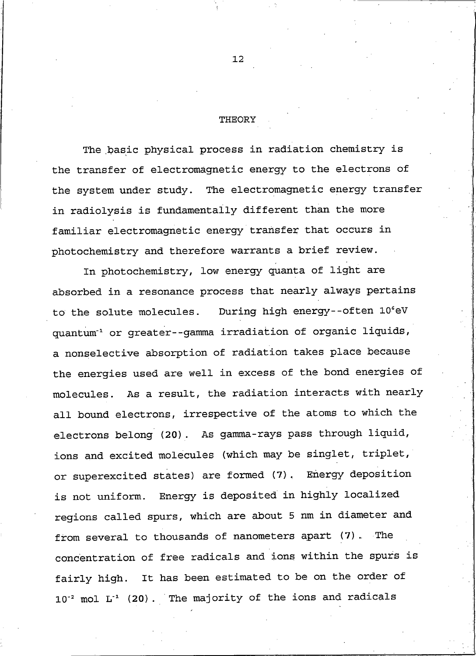#### THEORY

The basic physical process in radiation chemistry is the transfer of electromagnetic energy to the electrons of the system under study. The electromagnetic energy transfer in radiolysis is fundamentally different than the more familiar electromagnetic energy transfer that occurs in photochemistry and therefore warrants a brief review.

In photochemistry, low energy quanta of light are absorbed in a resonance process that nearly always pertains During high energy--often 10°eV to the solute molecules. quantum<sup>-1</sup> or greater--gamma irradiation of organic liquids, a nonselective absorption of radiation takes place because the energies used are well in excess of the bond energies of molecules. As a result, the radiation interacts with nearly all bound electrons, irrespective of the atoms to which the electrons belong (20). As gamma-rays pass through liquid, ions and excited molecules (which may be singlet, triplet, or superexcited states) are formed (7). Energy deposition is not uniform. Energy is deposited in highly localized regions called spurs, which are about 5 nm in diameter and from several to thousands of nanometers apart (7). The concentration of free radicals and ions within the spurs is fairly high. It has been estimated to be on the order of 10<sup>-2</sup> mol L<sup>-1</sup> (20). The majority of the ions and radicals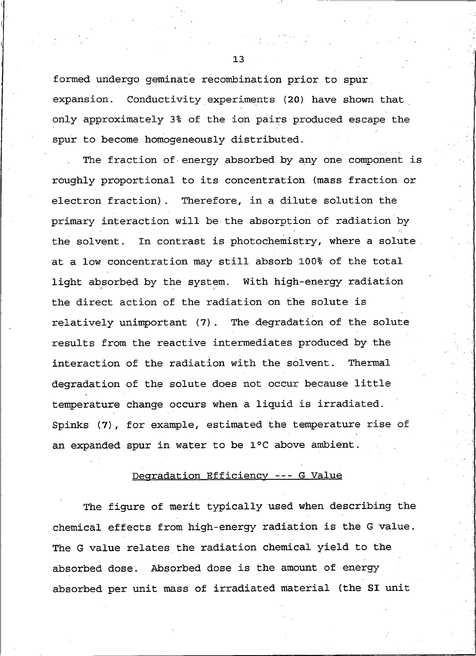formed undergo geminate recombination prior to spur expansion. Conductivity experiments (20) have shown that only approximately 3% of the ion pairs produced escape the spur to become homogeneously distributed.

The fraction of energy absorbed by any one component is roughly proportional to its concentration (mass fraction or electron fraction). Therefore, in a dilute solution the primary interaction will be the absorption of radiation by the solvent. In contrast is photochemistry, where a solute. at a low concentration may still absorb 100% of the total light absorbed by the system. With high-energy radiation the direct action of the radiation on the solute is relatively unimportant (7). The degradation of the solute results from the reactive intermediates produced by the interaction of the radiation with the solvent. Thermal degradation of the solute does not occur because little temperature change occurs when a liquid is irradiated. Spinks (7), for example, estimated the temperature rise of an expanded spur in water to be 1°C above ambient.

## Degradation Efficiency --- G Value

The figure of merit typically used when describing the chemical effects from high-energy radiation is the G value. The G value relates the radiation chemical yield to the absorbed dose. Absorbed dose is the amount of energy absorbed per unit mass of irradiated material (the SI unit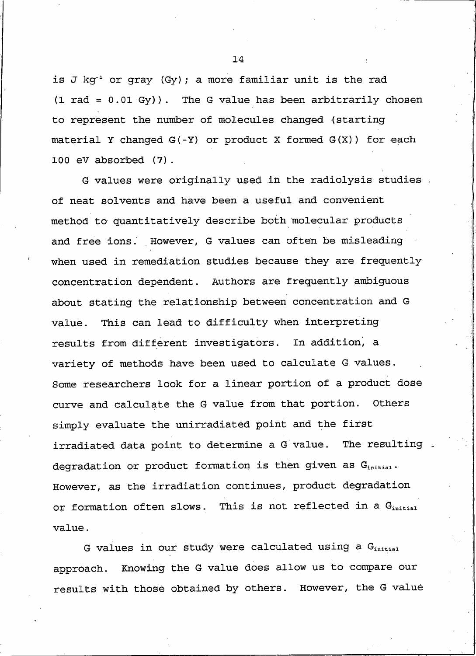is J kg<sup>-1</sup> or gray (Gy); a more familiar unit is the rad  $(1 rad = 0.01 Gy)$ . The G value has been arbitrarily chosen to represent the number of molecules changed (starting material Y changed G(-Y) or product X formed G(X)) for each 100 eV absorbed (7).

G values were originally used in the radiolysis studies of neat solvents and have been a useful and convenient method to quantitatively describe both molecular products and free ions. However, G values can often be misleading when used in remediation studies because they are frequently concentration dependent. Authors are frequently ambiguous about stating the relationship between concentration and G This can lead to difficulty when interpreting value. results from different investigators. In addition, a variety of methods have been used to calculate G values. Some researchers look for a linear portion of a product dose curve and calculate the G value from that portion. Others simply evaluate the unirradiated point and the first irradiated data point to determine a G value. The resulting degradation or product formation is then given as Ginitial. However, as the irradiation continues, product degradation or formation often slows. This is not reflected in a Ginitial value.

G values in our study were calculated using a Ginitial approach. Knowing the G value does allow us to compare our results with those obtained by others. However, the G value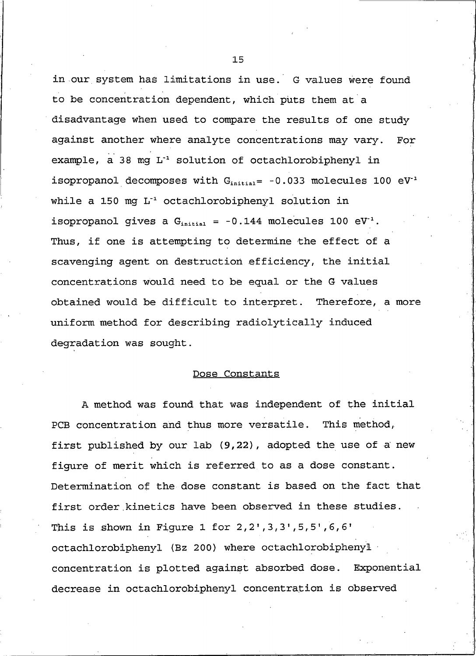in our system has limitations in use. G values were found to be concentration dependent, which puts them at a disadvantage when used to compare the results of one study against another where analyte concentrations may vary. For example, a 38 mg L<sup>-1</sup> solution of octachlorobiphenyl in isopropanol decomposes with  $G<sub>initial</sub> = -0.033$  molecules 100 eV<sup>-1</sup> while a 150 mg L<sup>-1</sup> octachlorobiphenyl solution in isopropanol gives a  $G<sub>initial</sub> = -0.144$  molecules 100 eV<sup>-1</sup>. Thus, if one is attempting to determine the effect of a scavenging agent on destruction efficiency, the initial concentrations would need to be equal or the G values obtained would be difficult to interpret. Therefore, a more uniform method for describing radiolytically induced degradation was sought.

#### Dose Constants

A method was found that was independent of the initial PCB concentration and thus more versatile. This method, first published by our lab (9,22), adopted the use of a new figure of merit which is referred to as a dose constant. Determination of the dose constant is based on the fact that first order kinetics have been observed in these studies. This is shown in Figure 1 for  $2, 2', 3, 3', 5, 5', 6, 6'$ octachlorobiphenyl (Bz 200) where octachlorobiphenyl concentration is plotted against absorbed dose. Exponential decrease in octachlorobiphenyl concentration is observed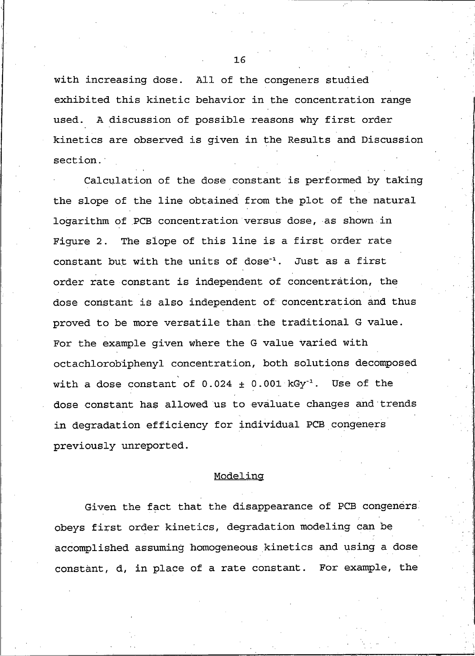with increasing dose. All of the congeners studied exhibited this kinetic behavior in the concentration range used. A discussion of possible reasons why first order kinetics are observed is given in the Results and Discussion section.

Calculation of the dose constant is performed by taking the slope of the line obtained from the plot of the natural logarithm of PCB concentration versus dose, as shown in Figure 2. The slope of this line is a first order rate constant but with the units of dose<sup>1</sup>. Just as a first order rate constant is independent of concentration, the dose constant is also independent of concentration and thus proved to be more versatile than the traditional G value. For the example given where the G value varied with octachlorobiphenyl concentration, both solutions decomposed with a dose constant of  $0.024 \pm 0.001$  kGy<sup>-1</sup>. Use of the dose constant has allowed us to evaluate changes and trends in degradation efficiency for individual PCB congeners previously unreported.

#### Modeling

Given the fact that the disappearance of PCB congeners. obeys first order kinetics, degradation modeling can be accomplished assuming homogeneous kinetics and using a dose constant, d, in place of a rate constant. For example, the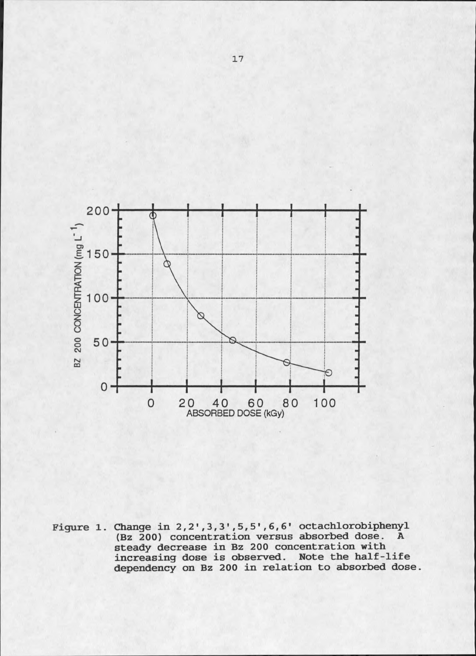

Figure 1. Change in  $2, 2', 3, 3', 5, 5', 6, 6'$  octachlorobiphenyl<br>(Bz 200) concentration versus absorbed dose. A steady decrease in Bz 200 concentration with<br>increasing dose is observed. Note the half-life<br>dependency on Bz 200 in relation to absorbed dose.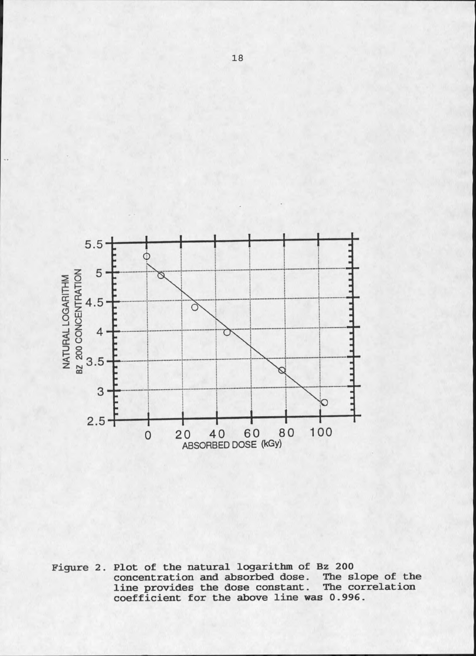

Figure 2. Plot of the natural logarithm of Bz 200 concentration and absorbed dose. The slope of the line provides the dose constant. The cord coefficient for the above line was 0.996. The correlation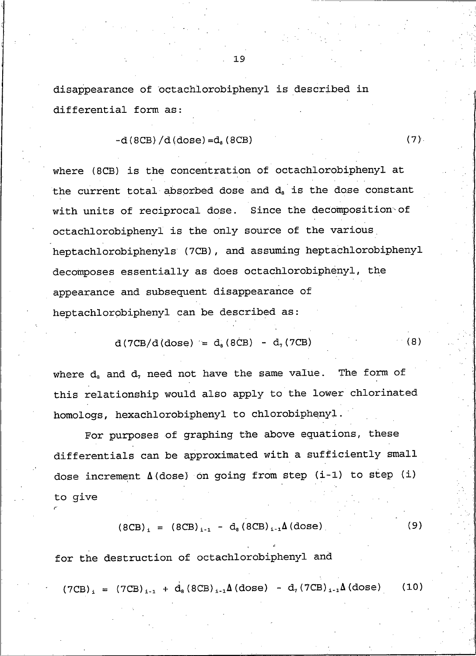disappearance of octachlorobiphenyl is described in differential form as:

$$
-d (8CB) / d (dose) = da (8CB)
$$

where (8CB) is the concentration of octachlorobiphenyl at the current total absorbed dose and d<sub>a</sub> is the dose constant with units of reciprocal dose. Since the decomposition of octachlorobiphenyl is the only source of the various heptachlorobiphenyls (7CB), and assuming heptachlorobiphenyl decomposes essentially as does octachlorobiphenyl, the appearance and subsequent disappearance of heptachlorobiphenyl can be described as:

> $d(TCB/d(dose)) = d_8(8CB) - d_7(7CB)$  $(8)$

 $(7).$ 

where  $d_a$  and  $d_7$  need not have the same value. The form of this relationship would also apply to the lower chlorinated homologs, hexachlorobiphenyl to chlorobiphenyl.

For purposes of graphing the above equations, these differentials can be approximated with a sufficiently small dose increment  $\Delta$  (dose) on going from step (i-1) to step (i) to give

$$
(8CB)_{i} = (8CB)_{i-1} - d_{s}(8CB)_{i-1}\Delta(\text{dose})
$$
 (9)

for the destruction of octachlorobiphenyl and

 $(7CB)_{i} = (7CB)_{i-1} + d_{s} (8CB)_{i-1} \Delta (dose) - d_{7} (7CB)_{i-1} \Delta (dose)$  $(10)$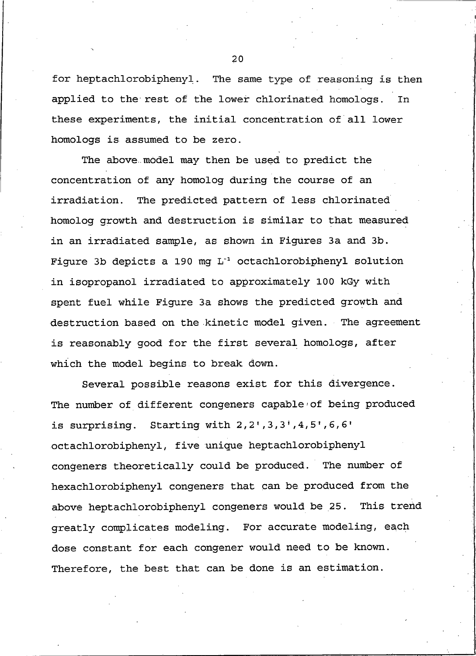for heptachlorobiphenyl. The same type of reasoning is then applied to the rest of the lower chlorinated homologs. In these experiments, the initial concentration of all lower homologs is assumed to be zero.

The above model may then be used to predict the concentration of any homolog during the course of an irradiation. The predicted pattern of less chlorinated homolog growth and destruction is similar to that measured in an irradiated sample, as shown in Figures 3a and 3b. Figure 3b depicts a 190 mg L<sup>-1</sup> octachlorobiphenyl solution in isopropanol irradiated to approximately 100 kGy with spent fuel while Fiqure 3a shows the predicted growth and destruction based on the kinetic model given. The agreement is reasonably good for the first several homologs, after which the model begins to break down.

Several possible reasons exist for this divergence. The number of different congeners capable of being produced is surprising. Starting with  $2, 2^1, 3, 3^1, 4, 5^1, 6, 6^1$ octachlorobiphenyl, five unique heptachlorobiphenyl congeners theoretically could be produced. The number of hexachlorobiphenyl congeners that can be produced from the above heptachlorobiphenyl congeners would be 25. This trend greatly complicates modeling. For accurate modeling, each dose constant for each congener would need to be known. Therefore, the best that can be done is an estimation.